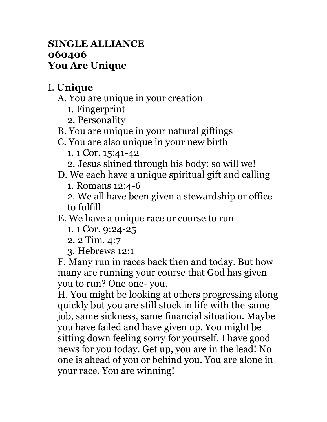## **SINGLE ALLIANCE 060406 You Are Unique**

## I. **Unique**

- A. You are unique in your creation
	- 1. Fingerprint
	- 2. Personality
- B. You are unique in your natural giftings
- C. You are also unique in your new birth
	- 1. 1 Cor. 15:41-42
	- 2. Jesus shined through his body: so will we!
- D. We each have a unique spiritual gift and calling
	- 1. Romans 12:4-6
	- 2. We all have been given a stewardship or office to fulfill
- E. We have a unique race or course to run
	- 1. 1 Cor. 9:24-25
	- 2. 2 Tim. 4:7
	- 3. Hebrews 12:1

F. Many run in races back then and today. But how many are running your course that God has given you to run? One one- you.

H. You might be looking at others progressing along quickly but you are still stuck in life with the same job, same sickness, same financial situation. Maybe you have failed and have given up. You might be sitting down feeling sorry for yourself. I have good news for you today. Get up, you are in the lead! No one is ahead of you or behind you. You are alone in your race. You are winning!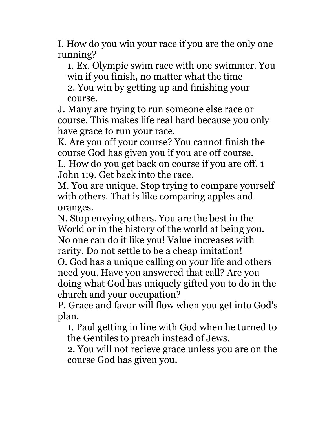I. How do you win your race if you are the only one running?

1. Ex. Olympic swim race with one swimmer. You win if you finish, no matter what the time 2. You win by getting up and finishing your course.

J. Many are trying to run someone else race or course. This makes life real hard because you only have grace to run your race.

K. Are you off your course? You cannot finish the course God has given you if you are off course.

L. How do you get back on course if you are off. 1 John 1:9. Get back into the race.

M. You are unique. Stop trying to compare yourself with others. That is like comparing apples and oranges.

N. Stop envying others. You are the best in the World or in the history of the world at being you. No one can do it like you! Value increases with rarity. Do not settle to be a cheap imitation! O. God has a unique calling on your life and others need you. Have you answered that call? Are you doing what God has uniquely gifted you to do in the church and your occupation?

P. Grace and favor will flow when you get into God's plan.

1. Paul getting in line with God when he turned to the Gentiles to preach instead of Jews.

2. You will not recieve grace unless you are on the course God has given you.